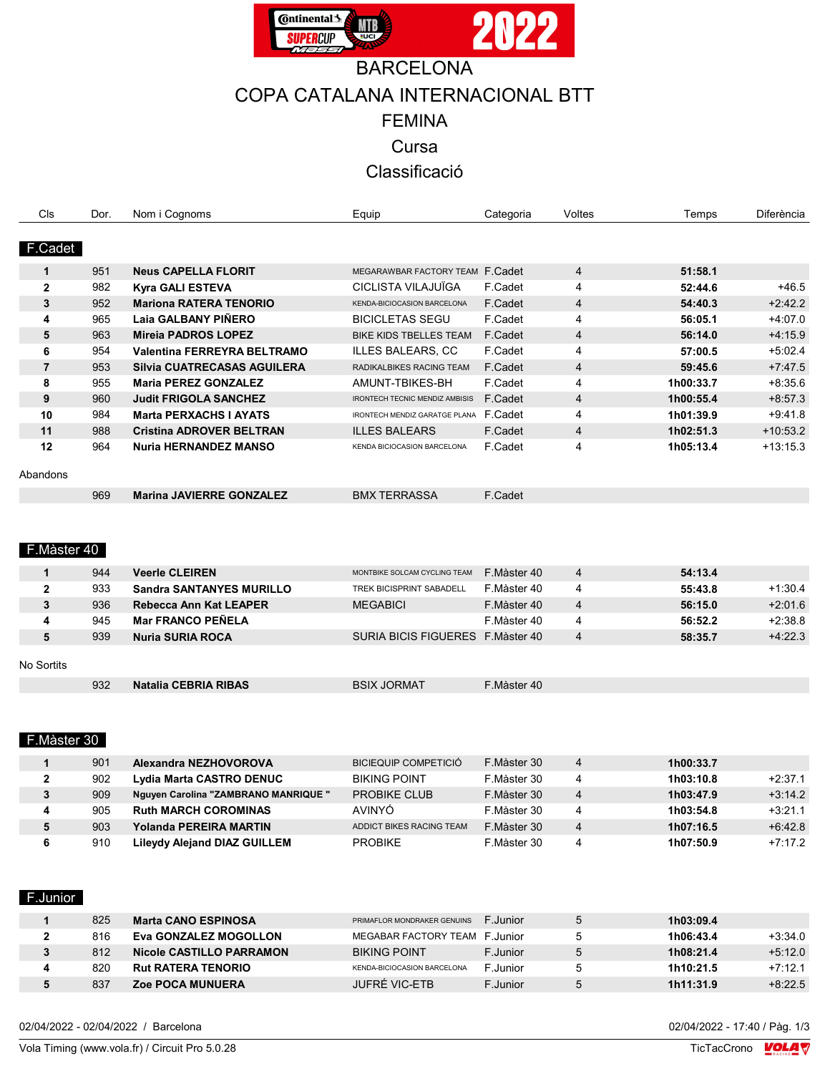

# **BARCELONA** COPA CATALANA INTERNACIONAL BTT FEMINA Cursa Classificació

| Cls            | Dor.   | Nom i Cognoms                   | Equip                                 | Categoria                   | Voltes         | Temps     | Diferència |
|----------------|--------|---------------------------------|---------------------------------------|-----------------------------|----------------|-----------|------------|
|                |        |                                 |                                       |                             |                |           |            |
| F.Cadet        |        |                                 |                                       |                             |                |           |            |
| $\mathbf{1}$   | 951    | <b>Neus CAPELLA FLORIT</b>      | MEGARAWBAR FACTORY TEAM F. Cadet      |                             | $\overline{4}$ | 51:58.1   |            |
| $\mathbf 2$    | 982    | <b>Kyra GALI ESTEVA</b>         | CICLISTA VILAJUÏGA                    | F.Cadet                     | 4              | 52:44.6   | $+46.5$    |
| 3              | 952    | <b>Mariona RATERA TENORIO</b>   | KENDA-BICIOCASION BARCELONA           | F.Cadet                     | $\overline{4}$ | 54:40.3   | $+2.42.2$  |
| 4              | 965    | Laia GALBANY PIÑERO             | <b>BICICLETAS SEGU</b>                | F.Cadet                     | 4              | 56:05.1   | $+4.07.0$  |
| 5              | 963    | <b>Mireia PADROS LOPEZ</b>      | BIKE KIDS TBELLES TEAM                | F.Cadet                     | 4              | 56:14.0   | $+4.15.9$  |
| 6              | 954    | Valentina FERREYRA BELTRAMO     | <b>ILLES BALEARS, CC</b>              | F.Cadet                     | 4              | 57:00.5   | $+5.02.4$  |
| $\overline{7}$ | 953    | Silvia CUATRECASAS AGUILERA     | RADIKALBIKES RACING TEAM              | F.Cadet                     | $\overline{4}$ | 59:45.6   | $+7:47.5$  |
| 8              | 955    | <b>Maria PEREZ GONZALEZ</b>     | AMUNT-TBIKES-BH                       | F.Cadet                     | 4              | 1h00:33.7 | $+8.356$   |
| 9              | 960    | <b>Judit FRIGOLA SANCHEZ</b>    | <b>IRONTECH TECNIC MENDIZ AMBISIS</b> | F.Cadet                     | $\overline{4}$ | 1h00:55.4 | $+8:57.3$  |
| 10             | 984    | <b>Marta PERXACHS I AYATS</b>   | IRONTECH MENDIZ GARATGE PLANA F.Cadet |                             | 4              | 1h01:39.9 | $+9.41.8$  |
| 11             | 988    | <b>Cristina ADROVER BELTRAN</b> | <b>ILLES BALEARS</b>                  | F.Cadet                     | $\overline{4}$ | 1h02:51.3 | $+10.53.2$ |
| 12             | 964    | <b>Nuria HERNANDEZ MANSO</b>    | KENDA BICIOCASION BARCELONA           | F.Cadet                     | 4              | 1h05:13.4 | $+13:15.3$ |
|                |        |                                 |                                       |                             |                |           |            |
| Abandons       |        |                                 |                                       |                             |                |           |            |
|                | 969    | <b>Marina JAVIERRE GONZALEZ</b> | <b>BMX TERRASSA</b>                   | F.Cadet                     |                |           |            |
|                |        |                                 |                                       |                             |                |           |            |
|                |        |                                 |                                       |                             |                |           |            |
| F.Màster 40    |        |                                 |                                       |                             |                |           |            |
|                |        |                                 |                                       |                             |                |           |            |
| $\mathbf{1}$   | 944    | <b>Veerle CLEIREN</b>           | MONTBIKE SOLCAM CYCLING TEAM          | F.Màster 40                 | 4              | 54:13.4   |            |
| $\overline{2}$ | 933    | <b>Sandra SANTANYES MURILLO</b> | <b>TREK BICISPRINT SABADELL</b>       | F.Màster 40                 | 4              | 55:43.8   | $+1:30.4$  |
| 3              | 936    | <b>Rebecca Ann Kat LEAPER</b>   | <b>MEGABICI</b>                       | F.Màster 40                 | $\overline{4}$ | 56:15.0   | $+2.01.6$  |
| 4              | 945    | <b>Mar FRANCO PEÑELA</b>        |                                       | F.Màster 40                 | 4              | 56:52.2   | $+2:38.8$  |
| 5              | 939    | <b>Nuria SURIA ROCA</b>         | SURIA BICIS FIGUERES F. Màster 40     |                             | $\overline{4}$ | 58:35.7   | $+4:22.3$  |
|                |        |                                 |                                       |                             |                |           |            |
| No Sortits     |        |                                 |                                       |                             |                |           |            |
|                | 932    | <b>Natalia CEBRIA RIBAS</b>     | <b>BSIX JORMAT</b>                    | F.Màster 40                 |                |           |            |
|                |        |                                 |                                       |                             |                |           |            |
|                |        |                                 |                                       |                             |                |           |            |
| F.Màster 30    |        |                                 |                                       |                             |                |           |            |
|                |        |                                 |                                       |                             |                |           |            |
| $\mathbf{1}$   | 901    | Alexandra NEZHOVOROVA           | <b>BICIEQUIP COMPETICIÓ</b>           | F.Màster 30                 | 4              | 1h00:33.7 |            |
|                | $\sim$ |                                 | DUZINIO DOINIT                        | $F M$ <sub>2</sub> $+$ $ 0$ | $\overline{A}$ | 41.00.400 | 0.074      |

|   | 902 | Lydia Marta CASTRO DENUC             | <b>BIKING POINT</b>      | F.Màster 30 | 1h03:10.8 | $+2:37.1$ |
|---|-----|--------------------------------------|--------------------------|-------------|-----------|-----------|
|   | 909 | Nguyen Carolina "ZAMBRANO MANRIQUE " | PROBIKE CLUB             | F.Màster 30 | 1h03:47.9 | $+3.14.2$ |
|   | 905 | <b>Ruth MARCH COROMINAS</b>          | <b>AVINYO</b>            | F.Màster 30 | 1h03:54.8 | $+3.21.1$ |
| 5 | 903 | Yolanda PEREIRA MARTIN               | ADDICT BIKES RACING TEAM | F.Màster 30 | 1h07:16.5 | $+6.42.8$ |
|   | 910 | <b>Lileydy Alejand DIAZ GUILLEM</b>  | <b>PROBIKE</b>           | F.Màster 30 | 1h07:50.9 | $+7:17.2$ |
|   |     |                                      |                          |             |           |           |

### F.Junior

|   | 825 | <b>Marta CANO ESPINOSA</b> | PRIMAFLOR MONDRAKER GENUINS    | F.Junior | 1h03:09.4 |           |
|---|-----|----------------------------|--------------------------------|----------|-----------|-----------|
|   | 816 | Eva GONZALEZ MOGOLLON      | MEGABAR FACTORY TEAM F. Junior |          | 1h06:43.4 | $+3.34.0$ |
| З | 812 | Nicole CASTILLO PARRAMON   | <b>BIKING POINT</b>            | F.Junior | 1h08:21.4 | $+5.12.0$ |
| 4 | 820 | <b>Rut RATERA TENORIO</b>  | KENDA-BICIOCASION BARCELONA    | F Junior | 1h10:21.5 | $+7:12.1$ |
| 5 | 837 | <b>Zoe POCA MUNUERA</b>    | JUFRÉ VIC-ETB                  | F.Junior | 1h11:31.9 | $+8.22.5$ |

02/04/2022 - 02/04/2022 / Barcelona 02/04/2022 - 17:40 / Pàg. 1/3

 $\overline{\phantom{a}}$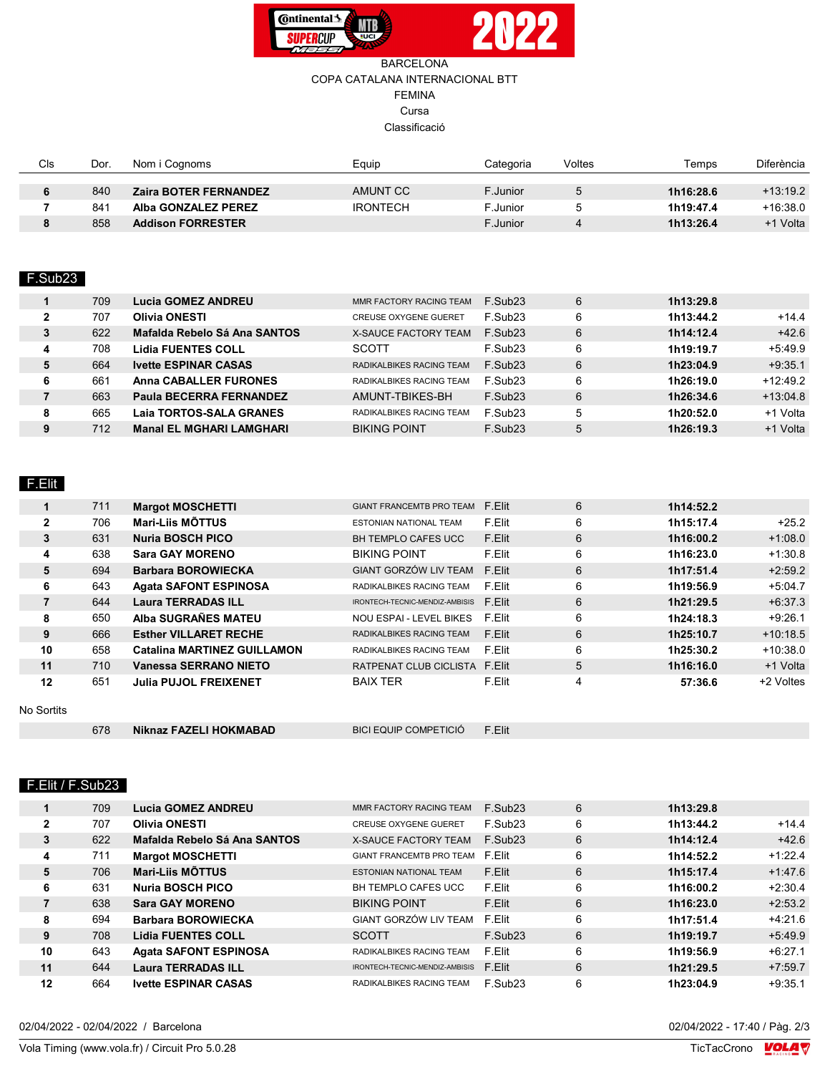

#### BARCELONA COPA CATALANA INTERNACIONAL BTT FEMINA Cursa Classificació

| Cls | Dor. | Nom i Cognoms                | Equip           | Categoria | Voltes | Temps     | Diferència |
|-----|------|------------------------------|-----------------|-----------|--------|-----------|------------|
|     |      |                              |                 |           |        |           |            |
|     | 840  | <b>Zaira BOTER FERNANDEZ</b> | AMUNT CC        | F Junior  |        | 1h16:28.6 | $+13:19.2$ |
|     | 841  | Alba GONZALEZ PEREZ          | <b>IRONTECH</b> | .Junior   |        | 1h19:47.4 | +16:38.0   |
|     | 858  | <b>Addison FORRESTER</b>     |                 | F Junior  |        | 1h13:26.4 | +1 Volta   |

#### F.Sub23

|              | 709 | Lucia GOMEZ ANDREU              | MMR FACTORY RACING TEAM      | F.Sub <sub>23</sub> | 6 | 1h13:29.8 |            |
|--------------|-----|---------------------------------|------------------------------|---------------------|---|-----------|------------|
| $\mathbf{2}$ | 707 | <b>Olivia ONESTI</b>            | <b>CREUSE OXYGENE GUERET</b> | F.Sub <sub>23</sub> | 6 | 1h13:44.2 | $+14.4$    |
| 3            | 622 | Mafalda Rebelo Sá Ana SANTOS    | X-SAUCE FACTORY TEAM         | F.Sub <sub>23</sub> | 6 | 1h14:12.4 | $+42.6$    |
| 4            | 708 | <b>Lidia FUENTES COLL</b>       | <b>SCOTT</b>                 | F.Sub <sub>23</sub> | 6 | 1h19:19.7 | $+5:49.9$  |
| 5            | 664 | <b>Ivette ESPINAR CASAS</b>     | RADIKALBIKES RACING TEAM     | $F$ . Sub23         | 6 | 1h23:04.9 | $+9:35.1$  |
| 6            | 661 | <b>Anna CABALLER FURONES</b>    | RADIKALBIKES RACING TEAM     | F.Sub <sub>23</sub> | 6 | 1h26:19.0 | $+12.49.2$ |
|              | 663 | Paula BECERRA FERNANDEZ         | AMUNT-TBIKES-BH              | F.Sub <sub>23</sub> | 6 | 1h26:34.6 | $+13.04.8$ |
| 8            | 665 | Laia TORTOS-SALA GRANES         | RADIKALBIKES RACING TEAM     | F.Sub <sub>23</sub> |   | 1h20:52.0 | +1 Volta   |
| 9            | 712 | <b>Manal EL MGHARI LAMGHARI</b> | <b>BIKING POINT</b>          | F.Sub <sub>23</sub> | 5 | 1h26:19.3 | +1 Volta   |
|              |     |                                 |                              |                     |   |           |            |

## F.Elit

|              | 711 | <b>Margot MOSCHETTI</b>            | <b>GIANT FRANCEMTB PRO TEAM</b> | F.Elit | 6 | 1h14:52.2 |            |
|--------------|-----|------------------------------------|---------------------------------|--------|---|-----------|------------|
| $\mathbf{2}$ | 706 | Mari-Liis MÕTTUS                   | <b>ESTONIAN NATIONAL TEAM</b>   | F.Elit | 6 | 1h15:17.4 | $+25.2$    |
| 3            | 631 | <b>Nuria BOSCH PICO</b>            | <b>BH TEMPLO CAFES UCC</b>      | F.Elit | 6 | 1h16:00.2 | $+1:08.0$  |
| 4            | 638 | <b>Sara GAY MORENO</b>             | <b>BIKING POINT</b>             | F.Elit | 6 | 1h16:23.0 | $+1:30.8$  |
| 5            | 694 | <b>Barbara BOROWIECKA</b>          | <b>GIANT GORZÓW LIV TEAM</b>    | F.Elit | 6 | 1h17:51.4 | $+2:59.2$  |
| 6            | 643 | <b>Agata SAFONT ESPINOSA</b>       | RADIKALBIKES RACING TEAM        | F.Elit | 6 | 1h19:56.9 | $+5:04.7$  |
| 7            | 644 | <b>Laura TERRADAS ILL</b>          | IRONTECH-TECNIC-MENDIZ-AMBISIS  | F.Elit | 6 | 1h21:29.5 | $+6.37.3$  |
| 8            | 650 | Alba SUGRAÑES MATEU                | NOU ESPAI - LEVEL BIKES         | F.Elit | 6 | 1h24:18.3 | $+9.26.1$  |
| 9            | 666 | <b>Esther VILLARET RECHE</b>       | RADIKALBIKES RACING TEAM        | F.Elit | 6 | 1h25:10.7 | $+10.18.5$ |
| 10           | 658 | <b>Catalina MARTINEZ GUILLAMON</b> | RADIKALBIKES RACING TEAM        | F.Elit | 6 | 1h25:30.2 | $+10.38.0$ |
| 11           | 710 | <b>Vanessa SERRANO NIETO</b>       | RATPENAT CLUB CICLISTA F.Elit   |        | 5 | 1h16:16.0 | +1 Volta   |
| 12           | 651 | <b>Julia PUJOL FREIXENET</b>       | <b>BAIX TER</b>                 | F.Elit | 4 | 57:36.6   | +2 Voltes  |

No Sortits

| Niknaz FAZELI HOKMABAD<br>678 | BICI EQUIP COMPETICIÓ | F.Elit |
|-------------------------------|-----------------------|--------|
|-------------------------------|-----------------------|--------|

#### F.Elit / F.Sub23

|              | 709 | <b>Lucia GOMEZ ANDREU</b>    | MMR FACTORY RACING TEAM         | F.Sub <sub>23</sub> | 6<br>1h13:29.8 |           |
|--------------|-----|------------------------------|---------------------------------|---------------------|----------------|-----------|
| $\mathbf{2}$ | 707 | <b>Olivia ONESTI</b>         | <b>CREUSE OXYGENE GUERET</b>    | F.Sub <sub>23</sub> | 6<br>1h13:44.2 | $+14.4$   |
| 3            | 622 | Mafalda Rebelo Sá Ana SANTOS | X-SAUCE FACTORY TEAM            | F.Sub <sub>23</sub> | 6<br>1h14:12.4 | $+42.6$   |
| 4            | 711 | <b>Margot MOSCHETTI</b>      | GIANT FRANCEMTB PRO TEAM F Flit |                     | 6<br>1h14:52.2 | $+1.22.4$ |
| 5            | 706 | <b>Mari-Liis MÕTTUS</b>      | <b>ESTONIAN NATIONAL TEAM</b>   | F.Elit              | 6<br>1h15:17.4 | $+1.47.6$ |
| 6            | 631 | Nuria BOSCH PICO             | BH TEMPLO CAFES UCC             | F.Elit              | 6<br>1h16:00.2 | $+2:30.4$ |
| 7            | 638 | <b>Sara GAY MORENO</b>       | <b>BIKING POINT</b>             | F.Elit              | 6<br>1h16:23.0 | $+2:53.2$ |
| 8            | 694 | <b>Barbara BOROWIECKA</b>    | GIANT GORZÓW LIV TEAM           | F.Elit              | 6<br>1h17:51.4 | $+4:21.6$ |
| 9            | 708 | <b>Lidia FUENTES COLL</b>    | <b>SCOTT</b>                    | $F$ . Sub23         | 6<br>1h19:19.7 | $+5.49.9$ |
| 10           | 643 | <b>Agata SAFONT ESPINOSA</b> | RADIKALBIKES RACING TEAM        | F.Elit              | 6<br>1h19:56.9 | $+6.27.1$ |
| 11           | 644 | <b>Laura TERRADAS ILL</b>    | IRONTECH-TECNIC-MENDIZ-AMBISIS  | F.Elit              | 6<br>1h21:29.5 | $+7:59.7$ |
| 12           | 664 | <b>Ivette ESPINAR CASAS</b>  | RADIKALBIKES RACING TEAM        | F.Sub <sub>23</sub> | 6<br>1h23:04.9 | $+9:35.1$ |

02/04/2022 - 02/04/2022 / Barcelona

Vola Timing (www.vola.fr) / Circuit Pro 5.0.28

02/04/2022 - 17:40 / Pàg. 2/3<br>TicTacCrono